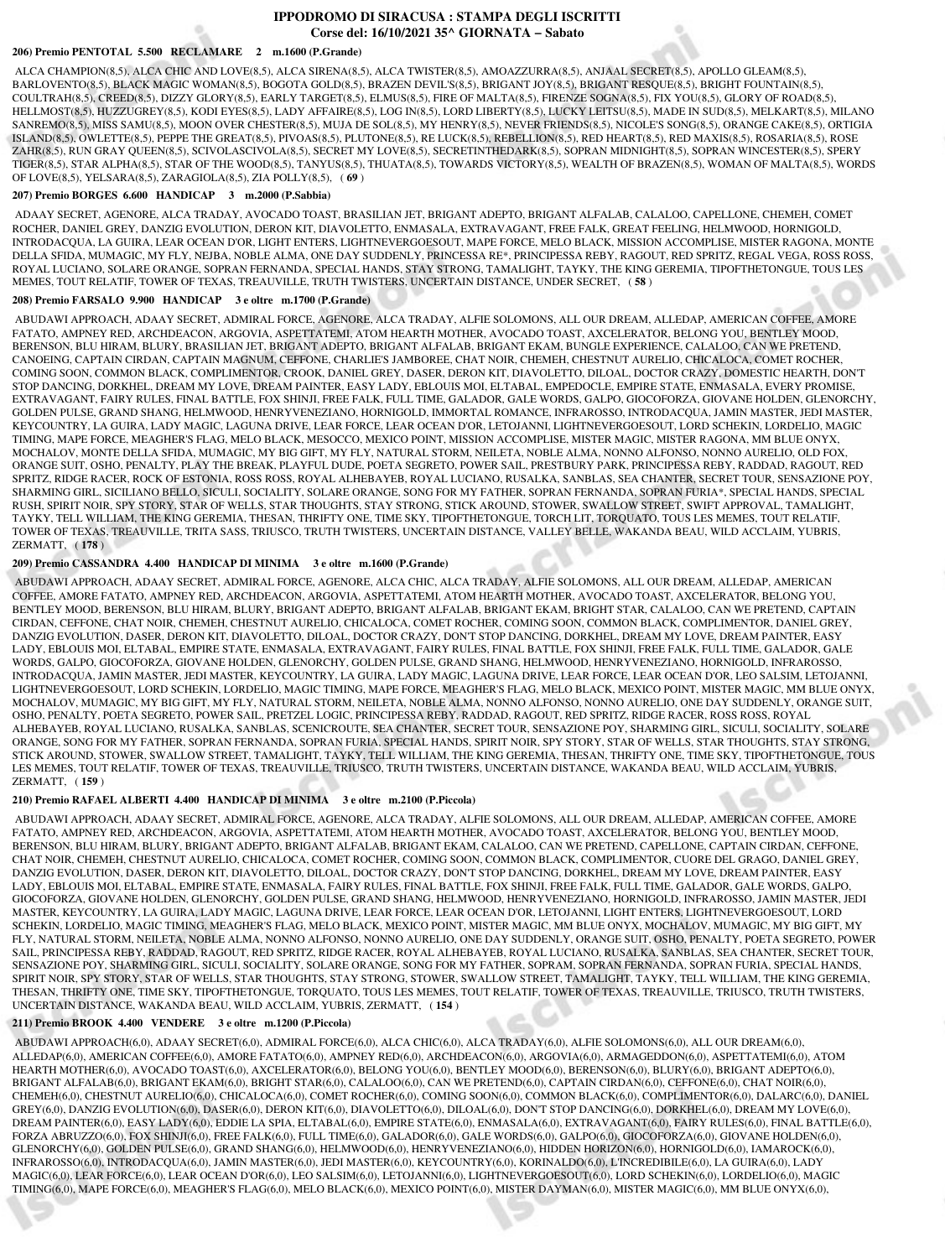# **IPPODROMO DI SIRACUSA : STAMPA DEGLI ISCRITTI Corse del: 16/10/2021 35^ GIORNATA − Sabato**

#### **206) Premio PENTOTAL 5.500 RECLAMARE 2 m.1600 (P.Grande)**

 ALCA CHAMPION(8,5), ALCA CHIC AND LOVE(8,5), ALCA SIRENA(8,5), ALCA TWISTER(8,5), AMOAZZURRA(8,5), ANJAAL SECRET(8,5), APOLLO GLEAM(8,5), BARLOVENTO(8,5), BLACK MAGIC WOMAN(8,5), BOGOTA GOLD(8,5), BRAZEN DEVIL'S(8,5), BRIGANT JOY(8,5), BRIGANT RESQUE(8,5), BRIGHT FOUNTAIN(8,5), COULTRAH(8,5), CREED(8,5), DIZZY GLORY(8,5), EARLY TARGET(8,5), ELMUS(8,5), FIRE OF MALTA(8,5), FIRENZE SOGNA(8,5), FIX YOU(8,5), GLORY OF ROAD(8,5), HELLMOST(8,5), HUZZUGREY(8,5), KODI EYES(8,5), LADY AFFAIRE(8,5), LOG IN(8,5), LORD LIBERTY(8,5), LUCKY LEITSU(8,5), MADE IN SUD(8,5), MELKART(8,5), MILANO SANREMO(8,5), MISS SAMU(8,5), MOON OVER CHESTER(8,5), MUJA DE SOL(8,5), MY HENRY(8,5), NEVER FRIENDS(8,5), NICOLE'S SONG(8,5), ORANGE CAKE(8,5), ORTIGIA ISLAND(8,5), OWLETTE(8,5), PEPPE THE GREAT(8,5), PIVOAS(8,5), PLUTONE(8,5), RE LUCK(8,5), REBELLION(8,5), RED HEART(8,5), RED MAXIS(8,5), ROSARIA(8,5), ROSE ZAHR(8,5), RUN GRAY QUEEN(8,5), SCIVOLASCIVOLA(8,5), SECRET MY LOVE(8,5), SECRETINTHEDARK(8,5), SOPRAN MIDNIGHT(8,5), SOPRAN WINCESTER(8,5), SPERY TIGER(8,5), STAR ALPHA(8,5), STAR OF THE WOOD(8,5), TANYUS(8,5), THUATA(8,5), TOWARDS VICTORY(8,5), WEALTH OF BRAZEN(8,5), WOMAN OF MALTA(8,5), WORDS OF LOVE(8,5), YELSARA(8,5), ZARAGIOLA(8,5), ZIA POLLY(8,5), ( **69** )

#### **207) Premio BORGES 6.600 HANDICAP 3 m.2000 (P.Sabbia)**

 ADAAY SECRET, AGENORE, ALCA TRADAY, AVOCADO TOAST, BRASILIAN JET, BRIGANT ADEPTO, BRIGANT ALFALAB, CALALOO, CAPELLONE, CHEMEH, COMET ROCHER, DANIEL GREY, DANZIG EVOLUTION, DERON KIT, DIAVOLETTO, ENMASALA, EXTRAVAGANT, FREE FALK, GREAT FEELING, HELMWOOD, HORNIGOLD, INTRODACQUA, LA GUIRA, LEAR OCEAN D'OR, LIGHT ENTERS, LIGHTNEVERGOESOUT, MAPE FORCE, MELO BLACK, MISSION ACCOMPLISE, MISTER RAGONA, MONTE DELLA SFIDA, MUMAGIC, MY FLY, NEJBA, NOBLE ALMA, ONE DAY SUDDENLY, PRINCESSA RE\*, PRINCIPESSA REBY, RAGOUT, RED SPRITZ, REGAL VEGA, ROSS ROSS, ROYAL LUCIANO, SOLARE ORANGE, SOPRAN FERNANDA, SPECIAL HANDS, STAY STRONG, TAMALIGHT, TAYKY, THE KING GEREMIA, TIPOFTHETONGUE, TOUS LES MEMES, TOUT RELATIF, TOWER OF TEXAS, TREAUVILLE, TRUTH TWISTERS, UNCERTAIN DISTANCE, UNDER SECRET, ( **58** )

### **208) Premio FARSALO 9.900 HANDICAP 3 e oltre m.1700 (P.Grande)**

 ABUDAWI APPROACH, ADAAY SECRET, ADMIRAL FORCE, AGENORE, ALCA TRADAY, ALFIE SOLOMONS, ALL OUR DREAM, ALLEDAP, AMERICAN COFFEE, AMORE FATATO, AMPNEY RED, ARCHDEACON, ARGOVIA, ASPETTATEMI, ATOM HEARTH MOTHER, AVOCADO TOAST, AXCELERATOR, BELONG YOU, BENTLEY MOOD, BERENSON, BLU HIRAM, BLURY, BRASILIAN JET, BRIGANT ADEPTO, BRIGANT ALFALAB, BRIGANT EKAM, BUNGLE EXPERIENCE, CALALOO, CAN WE PRETEND, CANOEING, CAPTAIN CIRDAN, CAPTAIN MAGNUM, CEFFONE, CHARLIE'S JAMBOREE, CHAT NOIR, CHEMEH, CHESTNUT AURELIO, CHICALOCA, COMET ROCHER, COMING SOON, COMMON BLACK, COMPLIMENTOR, CROOK, DANIEL GREY, DASER, DERON KIT, DIAVOLETTO, DILOAL, DOCTOR CRAZY, DOMESTIC HEARTH, DON'T STOP DANCING, DORKHEL, DREAM MY LOVE, DREAM PAINTER, EASY LADY, EBLOUIS MOI, ELTABAL, EMPEDOCLE, EMPIRE STATE, ENMASALA, EVERY PROMISE, EXTRAVAGANT, FAIRY RULES, FINAL BATTLE, FOX SHINJI, FREE FALK, FULL TIME, GALADOR, GALE WORDS, GALPO, GIOCOFORZA, GIOVANE HOLDEN, GLENORCHY, GOLDEN PULSE, GRAND SHANG, HELMWOOD, HENRYVENEZIANO, HORNIGOLD, IMMORTAL ROMANCE, INFRAROSSO, INTRODACQUA, JAMIN MASTER, JEDI MASTER, KEYCOUNTRY, LA GUIRA, LADY MAGIC, LAGUNA DRIVE, LEAR FORCE, LEAR OCEAN D'OR, LETOJANNI, LIGHTNEVERGOESOUT, LORD SCHEKIN, LORDELIO, MAGIC TIMING, MAPE FORCE, MEAGHER'S FLAG, MELO BLACK, MESOCCO, MEXICO POINT, MISSION ACCOMPLISE, MISTER MAGIC, MISTER RAGONA, MM BLUE ONYX, MOCHALOV, MONTE DELLA SFIDA, MUMAGIC, MY BIG GIFT, MY FLY, NATURAL STORM, NEILETA, NOBLE ALMA, NONNO ALFONSO, NONNO AURELIO, OLD FOX, ORANGE SUIT, OSHO, PENALTY, PLAY THE BREAK, PLAYFUL DUDE, POETA SEGRETO, POWER SAIL, PRESTBURY PARK, PRINCIPESSA REBY, RADDAD, RAGOUT, RED SPRITZ, RIDGE RACER, ROCK OF ESTONIA, ROSS ROSS, ROYAL ALHEBAYEB, ROYAL LUCIANO, RUSALKA, SANBLAS, SEA CHANTER, SECRET TOUR, SENSAZIONE POY, SHARMING GIRL, SICILIANO BELLO, SICULI, SOCIALITY, SOLARE ORANGE, SONG FOR MY FATHER, SOPRAN FERNANDA, SOPRAN FURIA\*, SPECIAL HANDS, SPECIAL RUSH, SPIRIT NOIR, SPY STORY, STAR OF WELLS, STAR THOUGHTS, STAY STRONG, STICK AROUND, STOWER, SWALLOW STREET, SWIFT APPROVAL, TAMALIGHT, TAYKY, TELL WILLIAM, THE KING GEREMIA, THESAN, THRIFTY ONE, TIME SKY, TIPOFTHETONGUE, TORCH LIT, TORQUATO, TOUS LES MEMES, TOUT RELATIF, TOWER OF TEXAS, TREAUVILLE, TRITA SASS, TRIUSCO, TRUTH TWISTERS, UNCERTAIN DISTANCE, VALLEY BELLE, WAKANDA BEAU, WILD ACCLAIM, YUBRIS, ZERMATT, ( **178** )

### **209) Premio CASSANDRA 4.400 HANDICAP DI MINIMA 3 e oltre m.1600 (P.Grande)**

 ABUDAWI APPROACH, ADAAY SECRET, ADMIRAL FORCE, AGENORE, ALCA CHIC, ALCA TRADAY, ALFIE SOLOMONS, ALL OUR DREAM, ALLEDAP, AMERICAN COFFEE, AMORE FATATO, AMPNEY RED, ARCHDEACON, ARGOVIA, ASPETTATEMI, ATOM HEARTH MOTHER, AVOCADO TOAST, AXCELERATOR, BELONG YOU, BENTLEY MOOD, BERENSON, BLU HIRAM, BLURY, BRIGANT ADEPTO, BRIGANT ALFALAB, BRIGANT EKAM, BRIGHT STAR, CALALOO, CAN WE PRETEND, CAPTAIN CIRDAN, CEFFONE, CHAT NOIR, CHEMEH, CHESTNUT AURELIO, CHICALOCA, COMET ROCHER, COMING SOON, COMMON BLACK, COMPLIMENTOR, DANIEL GREY, DANZIG EVOLUTION, DASER, DERON KIT, DIAVOLETTO, DILOAL, DOCTOR CRAZY, DON'T STOP DANCING, DORKHEL, DREAM MY LOVE, DREAM PAINTER, EASY LADY, EBLOUIS MOI, ELTABAL, EMPIRE STATE, ENMASALA, EXTRAVAGANT, FAIRY RULES, FINAL BATTLE, FOX SHINJI, FREE FALK, FULL TIME, GALADOR, GALE WORDS, GALPO, GIOCOFORZA, GIOVANE HOLDEN, GLENORCHY, GOLDEN PULSE, GRAND SHANG, HELMWOOD, HENRYVENEZIANO, HORNIGOLD, INFRAROSSO, INTRODACQUA, JAMIN MASTER, JEDI MASTER, KEYCOUNTRY, LA GUIRA, LADY MAGIC, LAGUNA DRIVE, LEAR FORCE, LEAR OCEAN D'OR, LEO SALSIM, LETOJANNI, LIGHTNEVERGOESOUT, LORD SCHEKIN, LORDELIO, MAGIC TIMING, MAPE FORCE, MEAGHER'S FLAG, MELO BLACK, MEXICO POINT, MISTER MAGIC, MM BLUE ONYX, MOCHALOV, MUMAGIC, MY BIG GIFT, MY FLY, NATURAL STORM, NEILETA, NOBLE ALMA, NONNO ALFONSO, NONNO AURELIO, ONE DAY SUDDENLY, ORANGE SUIT, OSHO, PENALTY, POETA SEGRETO, POWER SAIL, PRETZEL LOGIC, PRINCIPESSA REBY, RADDAD, RAGOUT, RED SPRITZ, RIDGE RACER, ROSS ROSS, ROYAL ALHEBAYEB, ROYAL LUCIANO, RUSALKA, SANBLAS, SCENICROUTE, SEA CHANTER, SECRET TOUR, SENSAZIONE POY, SHARMING GIRL, SICULI, SOCIALITY, SOLARE ORANGE, SONG FOR MY FATHER, SOPRAN FERNANDA, SOPRAN FURIA, SPECIAL HANDS, SPIRIT NOIR, SPY STORY, STAR OF WELLS, STAR THOUGHTS, STAY STRONG, STICK AROUND, STOWER, SWALLOW STREET, TAMALIGHT, TAYKY, TELL WILLIAM, THE KING GEREMIA, THESAN, THRIFTY ONE, TIME SKY, TIPOFTHETONGUE, TOUS LES MEMES, TOUT RELATIF, TOWER OF TEXAS, TREAUVILLE, TRIUSCO, TRUTH TWISTERS, UNCERTAIN DISTANCE, WAKANDA BEAU, WILD ACCLAIM, YUBRIS, ZERMATT, ( **159** )

## **210) Premio RAFAEL ALBERTI 4.400 HANDICAP DI MINIMA 3 e oltre m.2100 (P.Piccola)**

 ABUDAWI APPROACH, ADAAY SECRET, ADMIRAL FORCE, AGENORE, ALCA TRADAY, ALFIE SOLOMONS, ALL OUR DREAM, ALLEDAP, AMERICAN COFFEE, AMORE FATATO, AMPNEY RED, ARCHDEACON, ARGOVIA, ASPETTATEMI, ATOM HEARTH MOTHER, AVOCADO TOAST, AXCELERATOR, BELONG YOU, BENTLEY MOOD, BERENSON, BLU HIRAM, BLURY, BRIGANT ADEPTO, BRIGANT ALFALAB, BRIGANT EKAM, CALALOO, CAN WE PRETEND, CAPELLONE, CAPTAIN CIRDAN, CEFFONE, CHAT NOIR, CHEMEH, CHESTNUT AURELIO, CHICALOCA, COMET ROCHER, COMING SOON, COMMON BLACK, COMPLIMENTOR, CUORE DEL GRAGO, DANIEL GREY, DANZIG EVOLUTION, DASER, DERON KIT, DIAVOLETTO, DILOAL, DOCTOR CRAZY, DON'T STOP DANCING, DORKHEL, DREAM MY LOVE, DREAM PAINTER, EASY LADY, EBLOUIS MOI, ELTABAL, EMPIRE STATE, ENMASALA, FAIRY RULES, FINAL BATTLE, FOX SHINJI, FREE FALK, FULL TIME, GALADOR, GALE WORDS, GALPO, GIOCOFORZA, GIOVANE HOLDEN, GLENORCHY, GOLDEN PULSE, GRAND SHANG, HELMWOOD, HENRYVENEZIANO, HORNIGOLD, INFRAROSSO, JAMIN MASTER, JEDI MASTER, KEYCOUNTRY, LA GUIRA, LADY MAGIC, LAGUNA DRIVE, LEAR FORCE, LEAR OCEAN D'OR, LETOJANNI, LIGHT ENTERS, LIGHTNEVERGOESOUT, LORD SCHEKIN, LORDELIO, MAGIC TIMING, MEAGHER'S FLAG, MELO BLACK, MEXICO POINT, MISTER MAGIC, MM BLUE ONYX, MOCHALOV, MUMAGIC, MY BIG GIFT, MY FLY, NATURAL STORM, NEILETA, NOBLE ALMA, NONNO ALFONSO, NONNO AURELIO, ONE DAY SUDDENLY, ORANGE SUIT, OSHO, PENALTY, POETA SEGRETO, POWER SAIL, PRINCIPESSA REBY, RADDAD, RAGOUT, RED SPRITZ, RIDGE RACER, ROYAL ALHEBAYEB, ROYAL LUCIANO, RUSALKA, SANBLAS, SEA CHANTER, SECRET TOUR, SENSAZIONE POY, SHARMING GIRL, SICULI, SOCIALITY, SOLARE ORANGE, SONG FOR MY FATHER, SOPRAM, SOPRAN FERNANDA, SOPRAN FURIA, SPECIAL HANDS, SPIRIT NOIR, SPY STORY, STAR OF WELLS, STAR THOUGHTS, STAY STRONG, STOWER, SWALLOW STREET, TAMALIGHT, TAYKY, TELL WILLIAM, THE KING GEREMIA, THESAN, THRIFTY ONE, TIME SKY, TIPOFTHETONGUE, TORQUATO, TOUS LES MEMES, TOUT RELATIF, TOWER OF TEXAS, TREAUVILLE, TRIUSCO, TRUTH TWISTERS, UNCERTAIN DISTANCE, WAKANDA BEAU, WILD ACCLAIM, YUBRIS, ZERMATT, ( **154** )

## **211) Premio BROOK 4.400 VENDERE 3 e oltre m.1200 (P.Piccola)**

 ABUDAWI APPROACH(6,0), ADAAY SECRET(6,0), ADMIRAL FORCE(6,0), ALCA CHIC(6,0), ALCA TRADAY(6,0), ALFIE SOLOMONS(6,0), ALL OUR DREAM(6,0), ALLEDAP(6,0), AMERICAN COFFEE(6,0), AMORE FATATO(6,0), AMPNEY RED(6,0), ARCHDEACON(6,0), ARGOVIA(6,0), ARMAGEDDON(6,0), ASPETTATEMI(6,0), ATOM HEARTH MOTHER(6,0), AVOCADO TOAST(6,0), AXCELERATOR(6,0), BELONG YOU(6,0), BENTLEY MOOD(6,0), BERENSON(6,0), BLURY(6,0), BRIGANT ADEPTO(6,0), BRIGANT ALFALAB(6,0), BRIGANT EKAM(6,0), BRIGHT STAR(6,0), CALALOO(6,0), CAN WE PRETEND(6,0), CAPTAIN CIRDAN(6,0), CEFFONE(6,0), CHAT NOIR(6,0), CHEMEH(6,0), CHESTNUT AURELIO(6,0), CHICALOCA(6,0), COMET ROCHER(6,0), COMING SOON(6,0), COMMON BLACK(6,0), COMPLIMENTOR(6,0), DALARC(6,0), DANIEL GREY(6,0), DANZIG EVOLUTION(6,0), DASER(6,0), DERON KIT(6,0), DIAVOLETTO(6,0), DILOAL(6,0), DON'T STOP DANCING(6,0), DORKHEL(6,0), DREAM MY LOVE(6,0), DREAM PAINTER(6,0), EASY LADY(6,0), EDDIE LA SPIA, ELTABAL(6,0), EMPIRE STATE(6,0), ENMASALA(6,0), EXTRAVAGANT(6,0), FAIRY RULES(6,0), FINAL BATTLE(6,0), FORZA ABRUZZO(6,0), FOX SHINJI(6,0), FREE FALK(6,0), FULL TIME(6,0), GALADOR(6,0), GALE WORDS(6,0), GALPO(6,0), GIOCOFORZA(6,0), GIOVANE HOLDEN(6,0), GLENORCHY(6,0), GOLDEN PULSE(6,0), GRAND SHANG(6,0), HELMWOOD(6,0), HENRYVENEZIANO(6,0), HIDDEN HORIZON(6,0), HORNIGOLD(6,0), IAMAROCK(6,0), INFRAROSSO(6,0), INTRODACQUA(6,0), JAMIN MASTER(6,0), JEDI MASTER(6,0), KEYCOUNTRY(6,0), KORINALDO(6,0), L'INCREDIBILE(6,0), LA GUIRA(6,0), LADY MAGIC(6,0), LEAR FORCE(6,0), LEAR OCEAN D'OR(6,0), LEO SALSIM(6,0), LETOJANNI(6,0), LIGHTNEVERGOESOUT(6,0), LORD SCHEKIN(6,0), LORDELIO(6,0), MAGIC TIMING(6,0), MAPE FORCE(6,0), MEAGHER'S FLAG(6,0), MELO BLACK(6,0), MEXICO POINT(6,0), MISTER DAYMAN(6,0), MISTER MAGIC(6,0), MM BLUE ONYX(6,0),